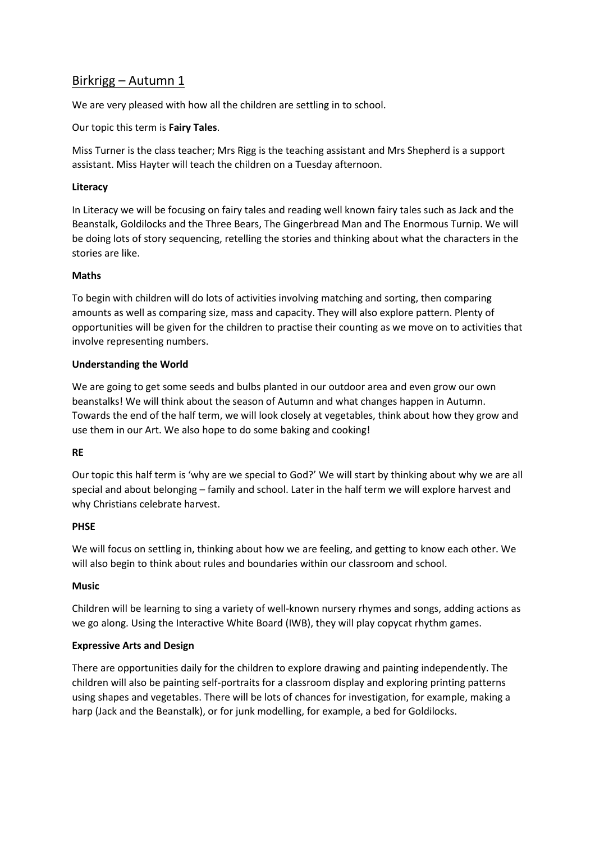# Birkrigg – Autumn 1

We are very pleased with how all the children are settling in to school.

Our topic this term is **Fairy Tales**.

Miss Turner is the class teacher; Mrs Rigg is the teaching assistant and Mrs Shepherd is a support assistant. Miss Hayter will teach the children on a Tuesday afternoon.

## **Literacy**

In Literacy we will be focusing on fairy tales and reading well known fairy tales such as Jack and the Beanstalk, Goldilocks and the Three Bears, The Gingerbread Man and The Enormous Turnip. We will be doing lots of story sequencing, retelling the stories and thinking about what the characters in the stories are like.

## **Maths**

To begin with children will do lots of activities involving matching and sorting, then comparing amounts as well as comparing size, mass and capacity. They will also explore pattern. Plenty of opportunities will be given for the children to practise their counting as we move on to activities that involve representing numbers.

## **Understanding the World**

We are going to get some seeds and bulbs planted in our outdoor area and even grow our own beanstalks! We will think about the season of Autumn and what changes happen in Autumn. Towards the end of the half term, we will look closely at vegetables, think about how they grow and use them in our Art. We also hope to do some baking and cooking!

#### **RE**

Our topic this half term is 'why are we special to God?' We will start by thinking about why we are all special and about belonging – family and school. Later in the half term we will explore harvest and why Christians celebrate harvest.

#### **PHSE**

We will focus on settling in, thinking about how we are feeling, and getting to know each other. We will also begin to think about rules and boundaries within our classroom and school.

#### **Music**

Children will be learning to sing a variety of well-known nursery rhymes and songs, adding actions as we go along. Using the Interactive White Board (IWB), they will play copycat rhythm games.

#### **Expressive Arts and Design**

There are opportunities daily for the children to explore drawing and painting independently. The children will also be painting self-portraits for a classroom display and exploring printing patterns using shapes and vegetables. There will be lots of chances for investigation, for example, making a harp (Jack and the Beanstalk), or for junk modelling, for example, a bed for Goldilocks.